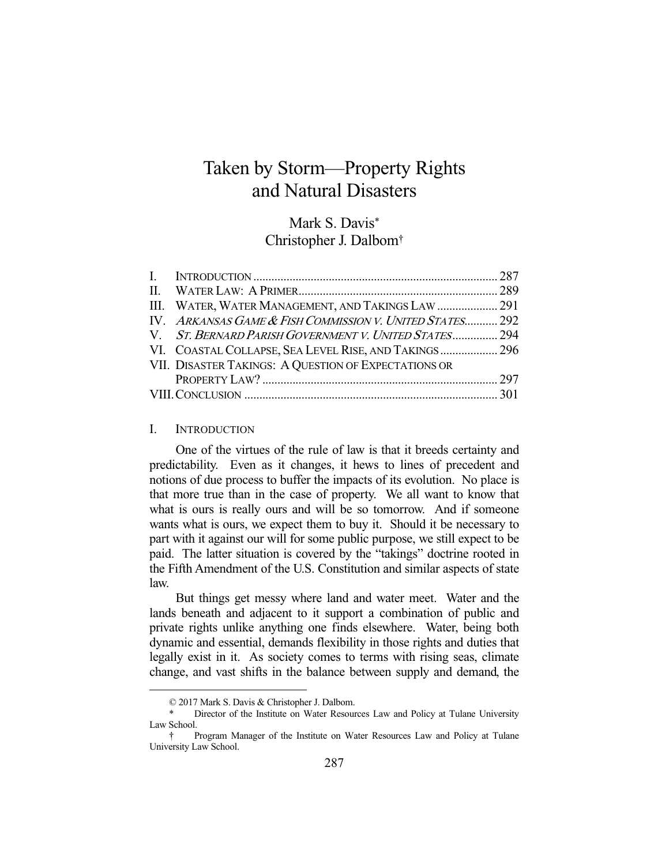# Taken by Storm—Property Rights and Natural Disasters

Mark S. Davis\* Christopher J. Dalbom†

| III. WATER, WATER MANAGEMENT, AND TAKINGS LAW  291       |  |
|----------------------------------------------------------|--|
| IV. ARKANSAS GAME & FISH COMMISSION V. UNITED STATES 292 |  |
| V. ST. BERNARD PARISH GOVERNMENT V. UNITED STATES 294    |  |
| VI. COASTAL COLLAPSE, SEA LEVEL RISE, AND TAKINGS 296    |  |
| VII. DISASTER TAKINGS: A QUESTION OF EXPECTATIONS OR     |  |
|                                                          |  |
|                                                          |  |

#### I. INTRODUCTION

-

 One of the virtues of the rule of law is that it breeds certainty and predictability. Even as it changes, it hews to lines of precedent and notions of due process to buffer the impacts of its evolution. No place is that more true than in the case of property. We all want to know that what is ours is really ours and will be so tomorrow. And if someone wants what is ours, we expect them to buy it. Should it be necessary to part with it against our will for some public purpose, we still expect to be paid. The latter situation is covered by the "takings" doctrine rooted in the Fifth Amendment of the U.S. Constitution and similar aspects of state law.

 But things get messy where land and water meet. Water and the lands beneath and adjacent to it support a combination of public and private rights unlike anything one finds elsewhere. Water, being both dynamic and essential, demands flexibility in those rights and duties that legally exist in it. As society comes to terms with rising seas, climate change, and vast shifts in the balance between supply and demand, the

 <sup>© 2017</sup> Mark S. Davis & Christopher J. Dalbom.

Director of the Institute on Water Resources Law and Policy at Tulane University Law School.

 <sup>†</sup> Program Manager of the Institute on Water Resources Law and Policy at Tulane University Law School.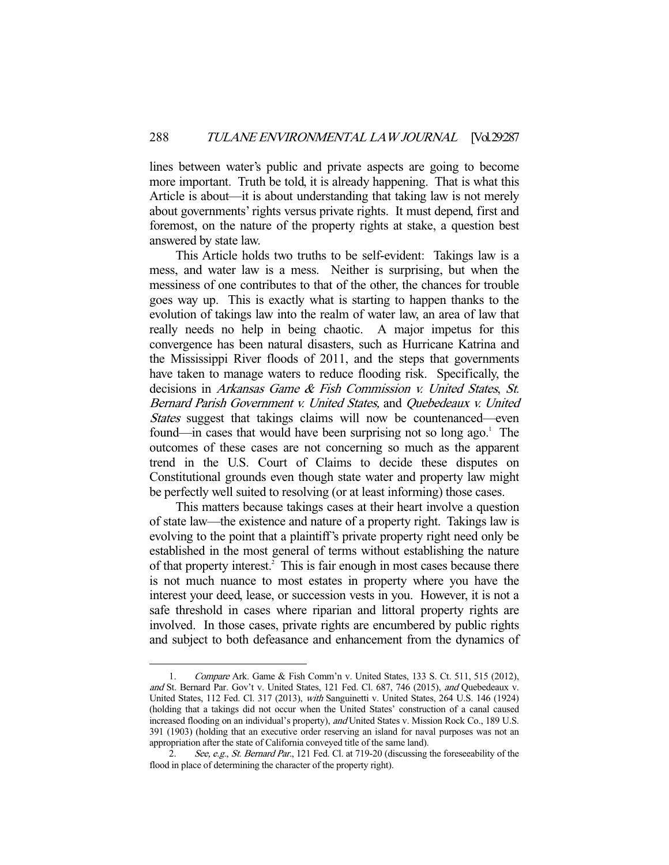lines between water's public and private aspects are going to become more important. Truth be told, it is already happening. That is what this Article is about—it is about understanding that taking law is not merely about governments' rights versus private rights. It must depend, first and foremost, on the nature of the property rights at stake, a question best answered by state law.

 This Article holds two truths to be self-evident: Takings law is a mess, and water law is a mess. Neither is surprising, but when the messiness of one contributes to that of the other, the chances for trouble goes way up. This is exactly what is starting to happen thanks to the evolution of takings law into the realm of water law, an area of law that really needs no help in being chaotic. A major impetus for this convergence has been natural disasters, such as Hurricane Katrina and the Mississippi River floods of 2011, and the steps that governments have taken to manage waters to reduce flooding risk. Specifically, the decisions in Arkansas Game & Fish Commission v. United States, St. Bernard Parish Government v. United States, and Quebedeaux v. United States suggest that takings claims will now be countenanced—even found—in cases that would have been surprising not so long ago.<sup>1</sup> The outcomes of these cases are not concerning so much as the apparent trend in the U.S. Court of Claims to decide these disputes on Constitutional grounds even though state water and property law might be perfectly well suited to resolving (or at least informing) those cases.

 This matters because takings cases at their heart involve a question of state law—the existence and nature of a property right. Takings law is evolving to the point that a plaintiff's private property right need only be established in the most general of terms without establishing the nature of that property interest.<sup>2</sup> This is fair enough in most cases because there is not much nuance to most estates in property where you have the interest your deed, lease, or succession vests in you. However, it is not a safe threshold in cases where riparian and littoral property rights are involved. In those cases, private rights are encumbered by public rights and subject to both defeasance and enhancement from the dynamics of

 <sup>1.</sup> Compare Ark. Game & Fish Comm'n v. United States, 133 S. Ct. 511, 515 (2012), and St. Bernard Par. Gov't v. United States, 121 Fed. Cl. 687, 746 (2015), and Quebedeaux v. United States, 112 Fed. Cl. 317 (2013), with Sanguinetti v. United States, 264 U.S. 146 (1924) (holding that a takings did not occur when the United States' construction of a canal caused increased flooding on an individual's property), and United States v. Mission Rock Co., 189 U.S. 391 (1903) (holding that an executive order reserving an island for naval purposes was not an appropriation after the state of California conveyed title of the same land).

<sup>2.</sup> See, e.g., St. Bernard Par., 121 Fed. Cl. at 719-20 (discussing the foreseeability of the flood in place of determining the character of the property right).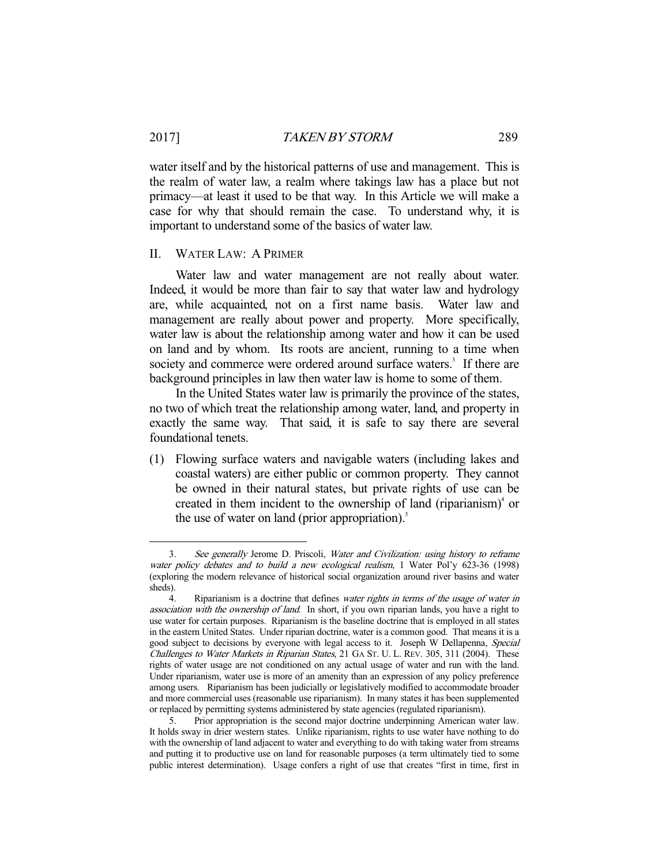water itself and by the historical patterns of use and management. This is the realm of water law, a realm where takings law has a place but not primacy—at least it used to be that way. In this Article we will make a case for why that should remain the case. To understand why, it is important to understand some of the basics of water law.

# II. WATER LAW: A PRIMER

-

 Water law and water management are not really about water. Indeed, it would be more than fair to say that water law and hydrology are, while acquainted, not on a first name basis. Water law and management are really about power and property. More specifically, water law is about the relationship among water and how it can be used on land and by whom. Its roots are ancient, running to a time when society and commerce were ordered around surface waters.<sup>3</sup> If there are background principles in law then water law is home to some of them.

 In the United States water law is primarily the province of the states, no two of which treat the relationship among water, land, and property in exactly the same way. That said, it is safe to say there are several foundational tenets.

(1) Flowing surface waters and navigable waters (including lakes and coastal waters) are either public or common property. They cannot be owned in their natural states, but private rights of use can be created in them incident to the ownership of land (riparianism) $\alpha$  or the use of water on land (prior appropriation). $\delta$ 

 <sup>3.</sup> See generally Jerome D. Priscoli, Water and Civilization: using history to reframe water policy debates and to build a new ecological realism, 1 Water Pol'y 623-36 (1998) (exploring the modern relevance of historical social organization around river basins and water sheds).

<sup>4.</sup> Riparianism is a doctrine that defines water rights in terms of the usage of water in association with the ownership of land. In short, if you own riparian lands, you have a right to use water for certain purposes. Riparianism is the baseline doctrine that is employed in all states in the eastern United States. Under riparian doctrine, water is a common good. That means it is a good subject to decisions by everyone with legal access to it. Joseph W Dellapenna, Special Challenges to Water Markets in Riparian States, 21 GA ST. U. L. REV. 305, 311 (2004). These rights of water usage are not conditioned on any actual usage of water and run with the land. Under riparianism, water use is more of an amenity than an expression of any policy preference among users. Riparianism has been judicially or legislatively modified to accommodate broader and more commercial uses (reasonable use riparianism). In many states it has been supplemented or replaced by permitting systems administered by state agencies (regulated riparianism).

 <sup>5.</sup> Prior appropriation is the second major doctrine underpinning American water law. It holds sway in drier western states. Unlike riparianism, rights to use water have nothing to do with the ownership of land adjacent to water and everything to do with taking water from streams and putting it to productive use on land for reasonable purposes (a term ultimately tied to some public interest determination). Usage confers a right of use that creates "first in time, first in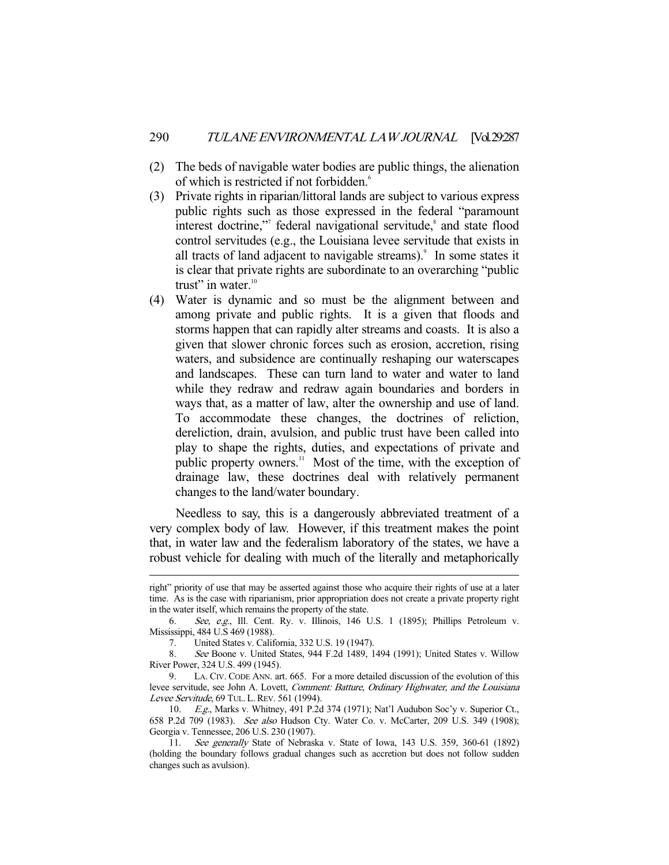- (2) The beds of navigable water bodies are public things, the alienation of which is restricted if not forbidden.<sup>6</sup>
- (3) Private rights in riparian/littoral lands are subject to various express public rights such as those expressed in the federal "paramount interest doctrine,"<sup>7</sup> federal navigational servitude,<sup>8</sup> and state flood control servitudes (e.g., the Louisiana levee servitude that exists in all tracts of land adjacent to navigable streams).<sup>9</sup> In some states it is clear that private rights are subordinate to an overarching "public trust" in water. $10$
- (4) Water is dynamic and so must be the alignment between and among private and public rights. It is a given that floods and storms happen that can rapidly alter streams and coasts. It is also a given that slower chronic forces such as erosion, accretion, rising waters, and subsidence are continually reshaping our waterscapes and landscapes. These can turn land to water and water to land while they redraw and redraw again boundaries and borders in ways that, as a matter of law, alter the ownership and use of land. To accommodate these changes, the doctrines of reliction, dereliction, drain, avulsion, and public trust have been called into play to shape the rights, duties, and expectations of private and public property owners.<sup>11</sup> Most of the time, with the exception of drainage law, these doctrines deal with relatively permanent changes to the land/water boundary.

 Needless to say, this is a dangerously abbreviated treatment of a very complex body of law. However, if this treatment makes the point that, in water law and the federalism laboratory of the states, we have a robust vehicle for dealing with much of the literally and metaphorically

right" priority of use that may be asserted against those who acquire their rights of use at a later time. As is the case with riparianism, prior appropriation does not create a private property right in the water itself, which remains the property of the state.

 <sup>6.</sup> See, e.g., Ill. Cent. Ry. v. Illinois, 146 U.S. 1 (1895); Phillips Petroleum v. Mississippi, 484 U.S 469 (1988).

 <sup>7.</sup> United States v. California, 332 U.S. 19 (1947).

 <sup>8.</sup> See Boone v. United States, 944 F.2d 1489, 1494 (1991); United States v. Willow River Power, 324 U.S. 499 (1945).

 <sup>9.</sup> LA. CIV. CODE ANN. art. 665. For a more detailed discussion of the evolution of this levee servitude, see John A. Lovett, Comment: Batture, Ordinary Highwater, and the Louisiana Levee Servitude, 69 TUL. L. REV. 561 (1994).

 <sup>10.</sup> E.g., Marks v. Whitney, 491 P.2d 374 (1971); Nat'l Audubon Soc'y v. Superior Ct., 658 P.2d 709 (1983). See also Hudson Cty. Water Co. v. McCarter, 209 U.S. 349 (1908); Georgia v. Tennessee, 206 U.S. 230 (1907).

 <sup>11.</sup> See generally State of Nebraska v. State of Iowa, 143 U.S. 359, 360-61 (1892) (holding the boundary follows gradual changes such as accretion but does not follow sudden changes such as avulsion).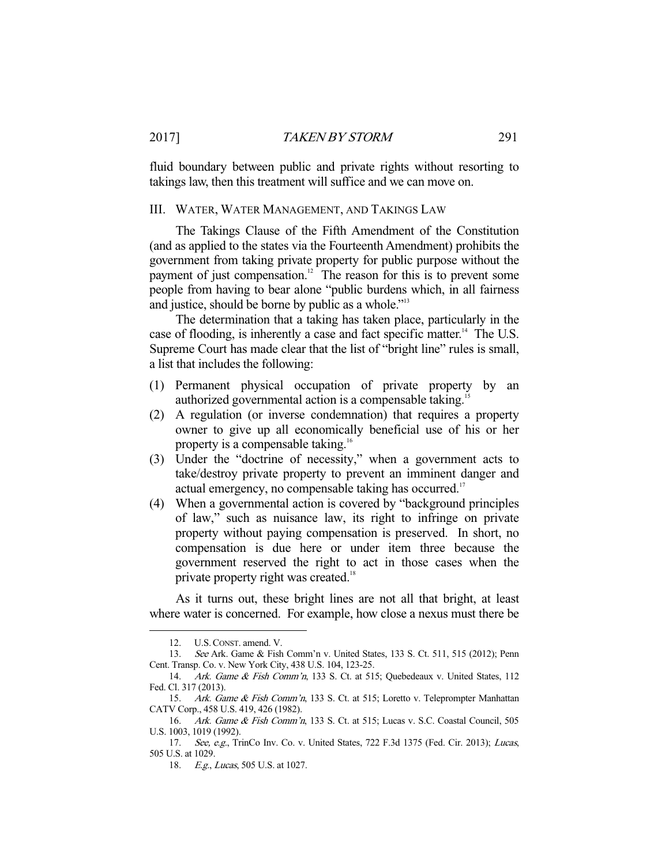fluid boundary between public and private rights without resorting to takings law, then this treatment will suffice and we can move on.

# III. WATER, WATER MANAGEMENT, AND TAKINGS LAW

 The Takings Clause of the Fifth Amendment of the Constitution (and as applied to the states via the Fourteenth Amendment) prohibits the government from taking private property for public purpose without the payment of just compensation.<sup>12</sup> The reason for this is to prevent some people from having to bear alone "public burdens which, in all fairness and justice, should be borne by public as a whole.<sup>"13</sup>

 The determination that a taking has taken place, particularly in the case of flooding, is inherently a case and fact specific matter.<sup>14</sup> The U.S. Supreme Court has made clear that the list of "bright line" rules is small, a list that includes the following:

- (1) Permanent physical occupation of private property by an authorized governmental action is a compensable taking.<sup>15</sup>
- (2) A regulation (or inverse condemnation) that requires a property owner to give up all economically beneficial use of his or her property is a compensable taking.<sup>16</sup>
- (3) Under the "doctrine of necessity," when a government acts to take/destroy private property to prevent an imminent danger and actual emergency, no compensable taking has occurred.<sup>17</sup>
- (4) When a governmental action is covered by "background principles of law," such as nuisance law, its right to infringe on private property without paying compensation is preserved. In short, no compensation is due here or under item three because the government reserved the right to act in those cases when the private property right was created.<sup>18</sup>

 As it turns out, these bright lines are not all that bright, at least where water is concerned. For example, how close a nexus must there be

 <sup>12.</sup> U.S.CONST. amend. V.

 <sup>13.</sup> See Ark. Game & Fish Comm'n v. United States, 133 S. Ct. 511, 515 (2012); Penn Cent. Transp. Co. v. New York City, 438 U.S. 104, 123-25.

 <sup>14.</sup> Ark. Game & Fish Comm'n, 133 S. Ct. at 515; Quebedeaux v. United States, 112 Fed. Cl. 317 (2013).

<sup>15.</sup> Ark. Game & Fish Comm'n, 133 S. Ct. at 515; Loretto v. Teleprompter Manhattan CATV Corp., 458 U.S. 419, 426 (1982).

 <sup>16.</sup> Ark. Game & Fish Comm'n, 133 S. Ct. at 515; Lucas v. S.C. Coastal Council, 505 U.S. 1003, 1019 (1992).

<sup>17.</sup> See, e.g., TrinCo Inv. Co. v. United States, 722 F.3d 1375 (Fed. Cir. 2013); Lucas, 505 U.S. at 1029.

<sup>18.</sup> E.g., Lucas, 505 U.S. at 1027.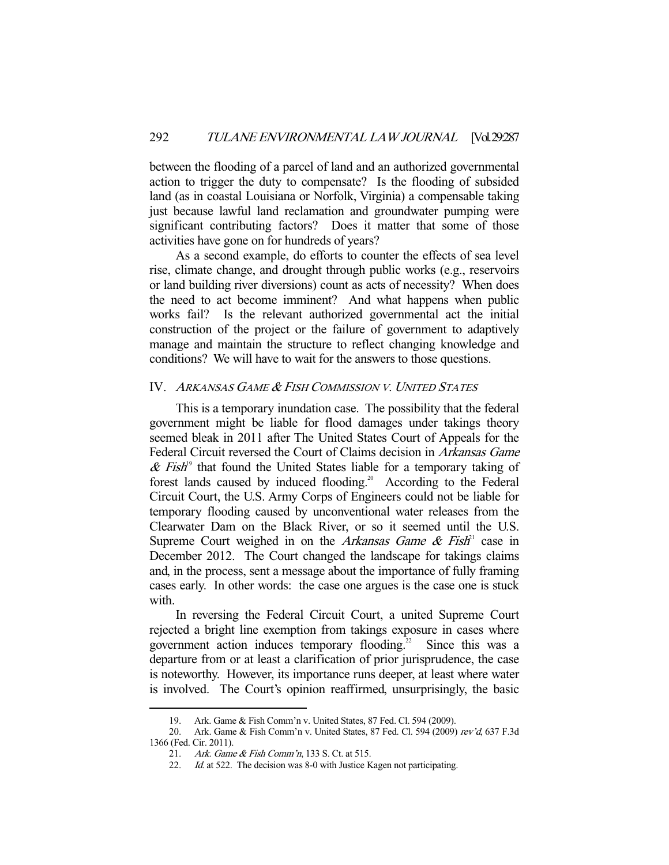between the flooding of a parcel of land and an authorized governmental action to trigger the duty to compensate? Is the flooding of subsided land (as in coastal Louisiana or Norfolk, Virginia) a compensable taking just because lawful land reclamation and groundwater pumping were significant contributing factors? Does it matter that some of those activities have gone on for hundreds of years?

 As a second example, do efforts to counter the effects of sea level rise, climate change, and drought through public works (e.g., reservoirs or land building river diversions) count as acts of necessity? When does the need to act become imminent? And what happens when public works fail? Is the relevant authorized governmental act the initial construction of the project or the failure of government to adaptively manage and maintain the structure to reflect changing knowledge and conditions? We will have to wait for the answers to those questions.

# IV. <sup>A</sup>RKANSAS GAME & <sup>F</sup>ISH COMMISSION V. <sup>U</sup>NITED STATES

 This is a temporary inundation case. The possibility that the federal government might be liable for flood damages under takings theory seemed bleak in 2011 after The United States Court of Appeals for the Federal Circuit reversed the Court of Claims decision in Arkansas Game  $\&$  Fish<sup>19</sup> that found the United States liable for a temporary taking of forest lands caused by induced flooding.<sup>20</sup> According to the Federal Circuit Court, the U.S. Army Corps of Engineers could not be liable for temporary flooding caused by unconventional water releases from the Clearwater Dam on the Black River, or so it seemed until the U.S. Supreme Court weighed in on the Arkansas Game & Fish<sup>21</sup> case in December 2012. The Court changed the landscape for takings claims and, in the process, sent a message about the importance of fully framing cases early. In other words: the case one argues is the case one is stuck with.

 In reversing the Federal Circuit Court, a united Supreme Court rejected a bright line exemption from takings exposure in cases where government action induces temporary flooding.<sup>22</sup> Since this was a departure from or at least a clarification of prior jurisprudence, the case is noteworthy. However, its importance runs deeper, at least where water is involved. The Court's opinion reaffirmed, unsurprisingly, the basic

 <sup>19.</sup> Ark. Game & Fish Comm'n v. United States, 87 Fed. Cl. 594 (2009).

<sup>20.</sup> Ark. Game & Fish Comm'n v. United States, 87 Fed. Cl. 594 (2009) rev'd, 637 F.3d 1366 (Fed. Cir. 2011).

 <sup>21.</sup> Ark. Game & Fish Comm'n, 133 S. Ct. at 515.

<sup>22.</sup> Id. at 522. The decision was 8-0 with Justice Kagen not participating.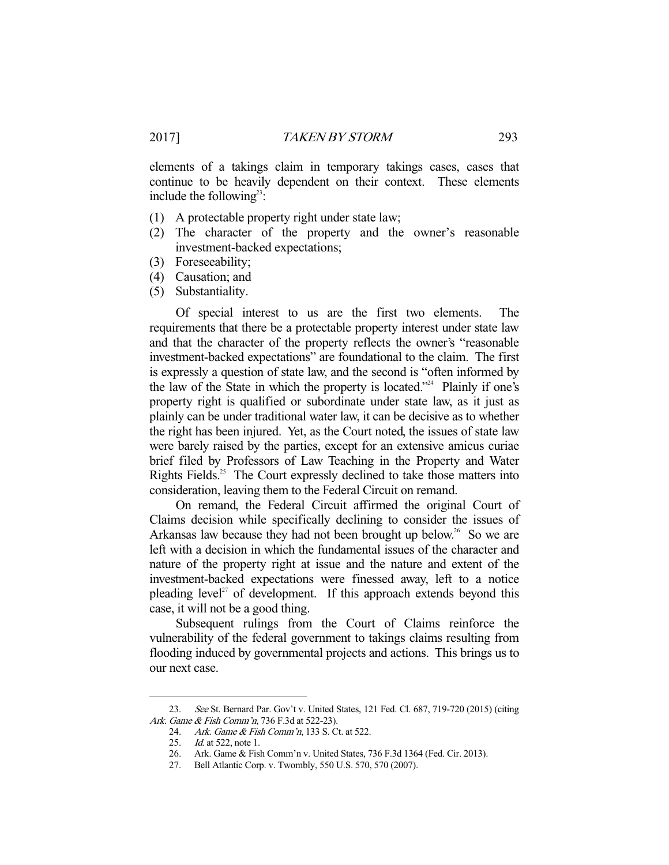elements of a takings claim in temporary takings cases, cases that continue to be heavily dependent on their context. These elements include the following<sup>23</sup>:

- (1) A protectable property right under state law;
- (2) The character of the property and the owner's reasonable investment-backed expectations;
- (3) Foreseeability;
- (4) Causation; and
- (5) Substantiality.

 Of special interest to us are the first two elements. The requirements that there be a protectable property interest under state law and that the character of the property reflects the owner's "reasonable investment-backed expectations" are foundational to the claim. The first is expressly a question of state law, and the second is "often informed by the law of the State in which the property is located."<sup>24</sup> Plainly if one's property right is qualified or subordinate under state law, as it just as plainly can be under traditional water law, it can be decisive as to whether the right has been injured. Yet, as the Court noted, the issues of state law were barely raised by the parties, except for an extensive amicus curiae brief filed by Professors of Law Teaching in the Property and Water Rights Fields.<sup>25</sup> The Court expressly declined to take those matters into consideration, leaving them to the Federal Circuit on remand.

 On remand, the Federal Circuit affirmed the original Court of Claims decision while specifically declining to consider the issues of Arkansas law because they had not been brought up below.<sup>26</sup> So we are left with a decision in which the fundamental issues of the character and nature of the property right at issue and the nature and extent of the investment-backed expectations were finessed away, left to a notice pleading level<sup> $27$ </sup> of development. If this approach extends beyond this case, it will not be a good thing.

 Subsequent rulings from the Court of Claims reinforce the vulnerability of the federal government to takings claims resulting from flooding induced by governmental projects and actions. This brings us to our next case.

<sup>23.</sup> See St. Bernard Par. Gov't v. United States, 121 Fed. Cl. 687, 719-720 (2015) (citing Ark. Game & Fish Comm'n, 736 F.3d at 522-23).

<sup>24.</sup> Ark. Game & Fish Comm'n, 133 S. Ct. at 522.

<sup>25.</sup> *Id.* at 522, note 1.

 <sup>26.</sup> Ark. Game & Fish Comm'n v. United States, 736 F.3d 1364 (Fed. Cir. 2013).

 <sup>27.</sup> Bell Atlantic Corp. v. Twombly, 550 U.S. 570, 570 (2007).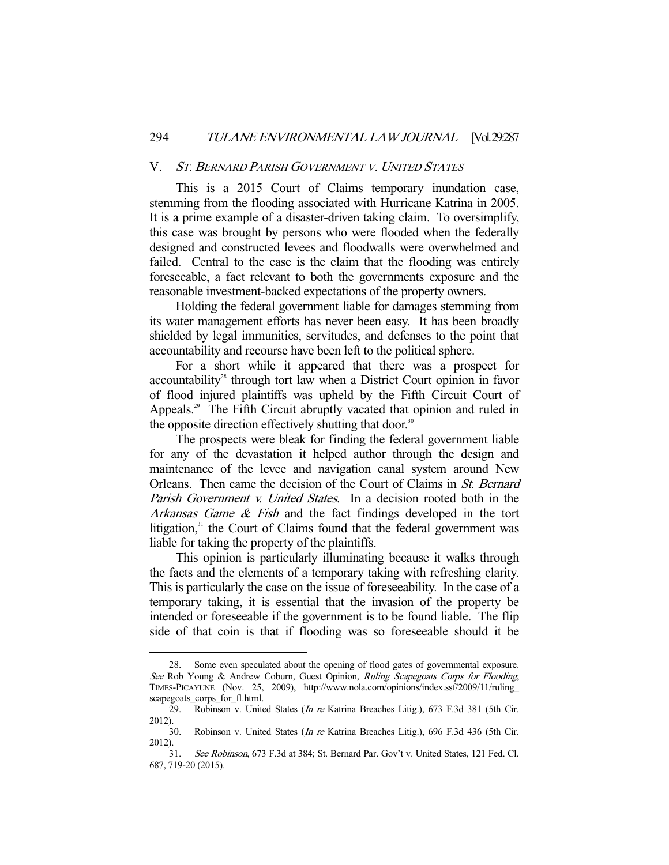#### V. <sup>S</sup>T. <sup>B</sup>ERNARD PARISH GOVERNMENT V. <sup>U</sup>NITED STATES

 This is a 2015 Court of Claims temporary inundation case, stemming from the flooding associated with Hurricane Katrina in 2005. It is a prime example of a disaster-driven taking claim. To oversimplify, this case was brought by persons who were flooded when the federally designed and constructed levees and floodwalls were overwhelmed and failed. Central to the case is the claim that the flooding was entirely foreseeable, a fact relevant to both the governments exposure and the reasonable investment-backed expectations of the property owners.

 Holding the federal government liable for damages stemming from its water management efforts has never been easy. It has been broadly shielded by legal immunities, servitudes, and defenses to the point that accountability and recourse have been left to the political sphere.

 For a short while it appeared that there was a prospect for  $accountability<sup>28</sup>$  through tort law when a District Court opinion in favor of flood injured plaintiffs was upheld by the Fifth Circuit Court of Appeals.<sup>29</sup> The Fifth Circuit abruptly vacated that opinion and ruled in the opposite direction effectively shutting that door.<sup>30</sup>

 The prospects were bleak for finding the federal government liable for any of the devastation it helped author through the design and maintenance of the levee and navigation canal system around New Orleans. Then came the decision of the Court of Claims in St. Bernard Parish Government v. United States. In a decision rooted both in the Arkansas Game & Fish and the fact findings developed in the tort litigation, $31$  the Court of Claims found that the federal government was liable for taking the property of the plaintiffs.

 This opinion is particularly illuminating because it walks through the facts and the elements of a temporary taking with refreshing clarity. This is particularly the case on the issue of foreseeability. In the case of a temporary taking, it is essential that the invasion of the property be intended or foreseeable if the government is to be found liable. The flip side of that coin is that if flooding was so foreseeable should it be

 <sup>28.</sup> Some even speculated about the opening of flood gates of governmental exposure. See Rob Young & Andrew Coburn, Guest Opinion, Ruling Scapegoats Corps for Flooding, TIMES-PICAYUNE (Nov. 25, 2009), http://www.nola.com/opinions/index.ssf/2009/11/ruling\_ scapegoats\_corps\_for\_fl.html.

<sup>29.</sup> Robinson v. United States (*In re* Katrina Breaches Litig.), 673 F.3d 381 (5th Cir. 2012).

 <sup>30.</sup> Robinson v. United States (In re Katrina Breaches Litig.), 696 F.3d 436 (5th Cir. 2012).

 <sup>31.</sup> See Robinson, 673 F.3d at 384; St. Bernard Par. Gov't v. United States, 121 Fed. Cl. 687, 719-20 (2015).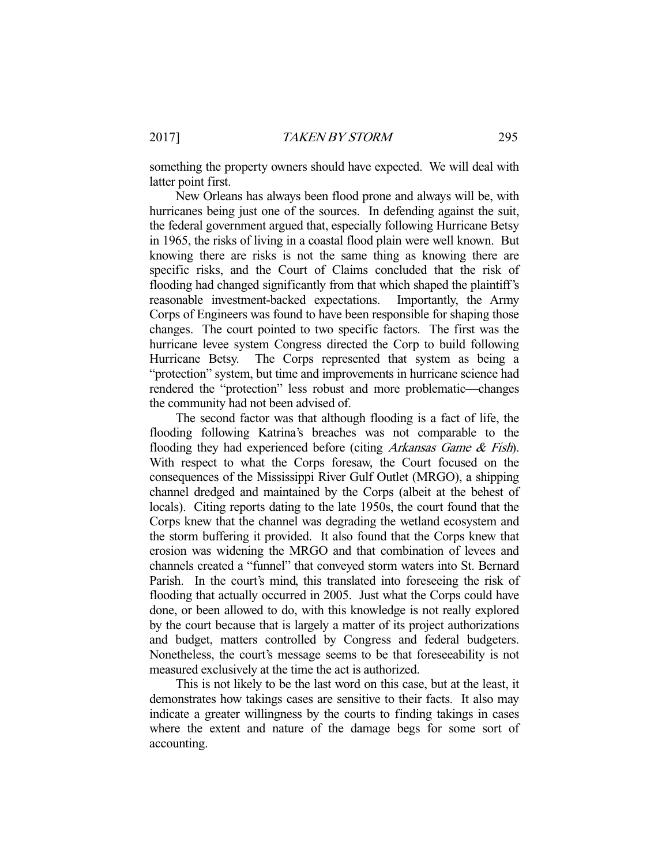something the property owners should have expected. We will deal with latter point first.

 New Orleans has always been flood prone and always will be, with hurricanes being just one of the sources. In defending against the suit, the federal government argued that, especially following Hurricane Betsy in 1965, the risks of living in a coastal flood plain were well known. But knowing there are risks is not the same thing as knowing there are specific risks, and the Court of Claims concluded that the risk of flooding had changed significantly from that which shaped the plaintiff's reasonable investment-backed expectations. Importantly, the Army Corps of Engineers was found to have been responsible for shaping those changes. The court pointed to two specific factors. The first was the hurricane levee system Congress directed the Corp to build following Hurricane Betsy. The Corps represented that system as being a "protection" system, but time and improvements in hurricane science had rendered the "protection" less robust and more problematic—changes the community had not been advised of.

 The second factor was that although flooding is a fact of life, the flooding following Katrina's breaches was not comparable to the flooding they had experienced before (citing *Arkansas Game & Fish*). With respect to what the Corps foresaw, the Court focused on the consequences of the Mississippi River Gulf Outlet (MRGO), a shipping channel dredged and maintained by the Corps (albeit at the behest of locals). Citing reports dating to the late 1950s, the court found that the Corps knew that the channel was degrading the wetland ecosystem and the storm buffering it provided. It also found that the Corps knew that erosion was widening the MRGO and that combination of levees and channels created a "funnel" that conveyed storm waters into St. Bernard Parish. In the court's mind, this translated into foreseeing the risk of flooding that actually occurred in 2005. Just what the Corps could have done, or been allowed to do, with this knowledge is not really explored by the court because that is largely a matter of its project authorizations and budget, matters controlled by Congress and federal budgeters. Nonetheless, the court's message seems to be that foreseeability is not measured exclusively at the time the act is authorized.

 This is not likely to be the last word on this case, but at the least, it demonstrates how takings cases are sensitive to their facts. It also may indicate a greater willingness by the courts to finding takings in cases where the extent and nature of the damage begs for some sort of accounting.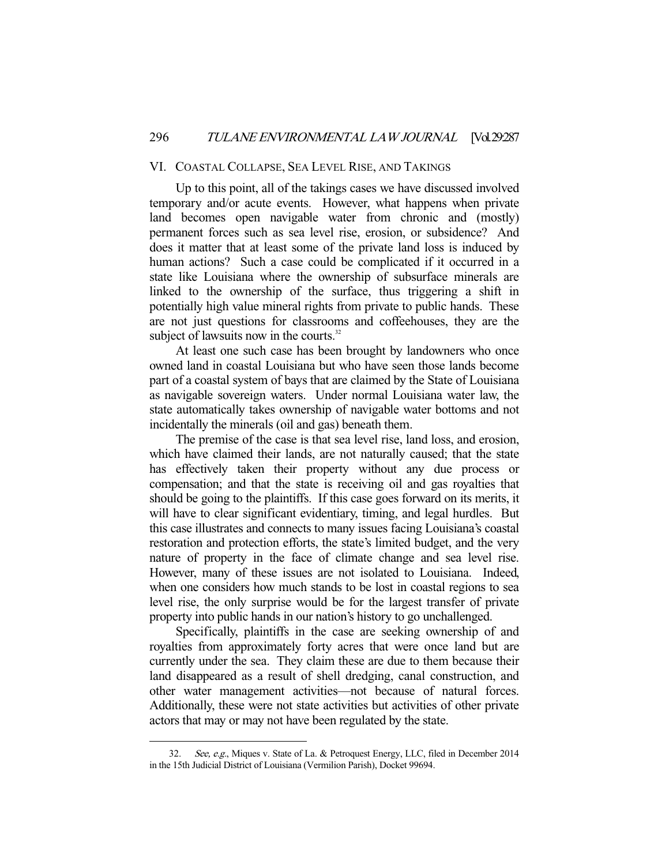# VI. COASTAL COLLAPSE, SEA LEVEL RISE, AND TAKINGS

 Up to this point, all of the takings cases we have discussed involved temporary and/or acute events. However, what happens when private land becomes open navigable water from chronic and (mostly) permanent forces such as sea level rise, erosion, or subsidence? And does it matter that at least some of the private land loss is induced by human actions? Such a case could be complicated if it occurred in a state like Louisiana where the ownership of subsurface minerals are linked to the ownership of the surface, thus triggering a shift in potentially high value mineral rights from private to public hands. These are not just questions for classrooms and coffeehouses, they are the subject of lawsuits now in the courts.<sup>32</sup>

 At least one such case has been brought by landowners who once owned land in coastal Louisiana but who have seen those lands become part of a coastal system of bays that are claimed by the State of Louisiana as navigable sovereign waters. Under normal Louisiana water law, the state automatically takes ownership of navigable water bottoms and not incidentally the minerals (oil and gas) beneath them.

 The premise of the case is that sea level rise, land loss, and erosion, which have claimed their lands, are not naturally caused; that the state has effectively taken their property without any due process or compensation; and that the state is receiving oil and gas royalties that should be going to the plaintiffs. If this case goes forward on its merits, it will have to clear significant evidentiary, timing, and legal hurdles. But this case illustrates and connects to many issues facing Louisiana's coastal restoration and protection efforts, the state's limited budget, and the very nature of property in the face of climate change and sea level rise. However, many of these issues are not isolated to Louisiana. Indeed, when one considers how much stands to be lost in coastal regions to sea level rise, the only surprise would be for the largest transfer of private property into public hands in our nation's history to go unchallenged.

 Specifically, plaintiffs in the case are seeking ownership of and royalties from approximately forty acres that were once land but are currently under the sea. They claim these are due to them because their land disappeared as a result of shell dredging, canal construction, and other water management activities—not because of natural forces. Additionally, these were not state activities but activities of other private actors that may or may not have been regulated by the state.

<sup>32.</sup> See, e.g., Miques v. State of La. & Petroquest Energy, LLC, filed in December 2014 in the 15th Judicial District of Louisiana (Vermilion Parish), Docket 99694.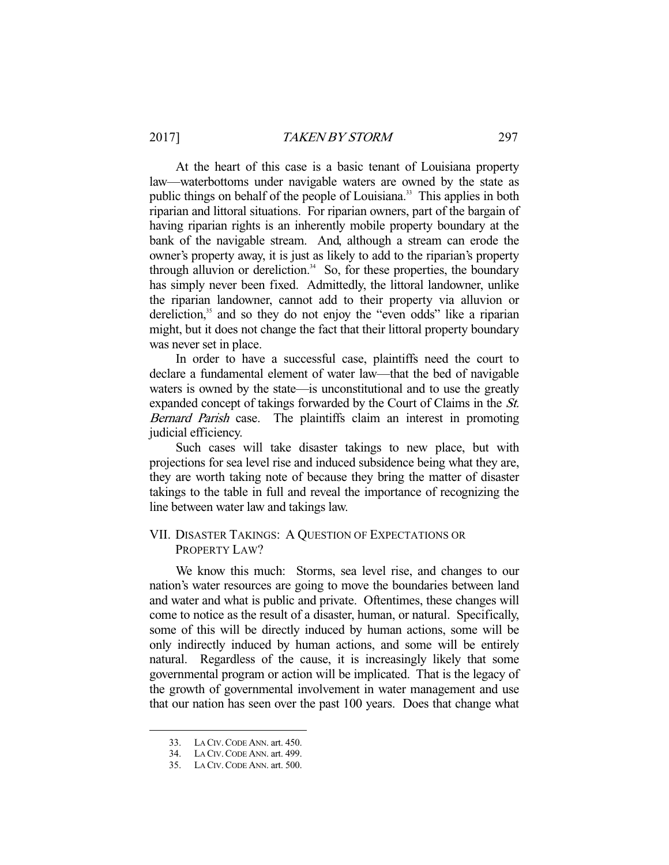# 2017] TAKEN BY STORM 297

 At the heart of this case is a basic tenant of Louisiana property law—waterbottoms under navigable waters are owned by the state as public things on behalf of the people of Louisiana.<sup>33</sup> This applies in both riparian and littoral situations. For riparian owners, part of the bargain of having riparian rights is an inherently mobile property boundary at the bank of the navigable stream. And, although a stream can erode the owner's property away, it is just as likely to add to the riparian's property through alluvion or dereliction. $34$  So, for these properties, the boundary has simply never been fixed. Admittedly, the littoral landowner, unlike the riparian landowner, cannot add to their property via alluvion or dereliction, $35$  and so they do not enjoy the "even odds" like a riparian might, but it does not change the fact that their littoral property boundary was never set in place.

 In order to have a successful case, plaintiffs need the court to declare a fundamental element of water law—that the bed of navigable waters is owned by the state—is unconstitutional and to use the greatly expanded concept of takings forwarded by the Court of Claims in the St. Bernard Parish case. The plaintiffs claim an interest in promoting judicial efficiency.

 Such cases will take disaster takings to new place, but with projections for sea level rise and induced subsidence being what they are, they are worth taking note of because they bring the matter of disaster takings to the table in full and reveal the importance of recognizing the line between water law and takings law.

# VII. DISASTER TAKINGS: A QUESTION OF EXPECTATIONS OR PROPERTY LAW?

 We know this much: Storms, sea level rise, and changes to our nation's water resources are going to move the boundaries between land and water and what is public and private. Oftentimes, these changes will come to notice as the result of a disaster, human, or natural. Specifically, some of this will be directly induced by human actions, some will be only indirectly induced by human actions, and some will be entirely natural. Regardless of the cause, it is increasingly likely that some governmental program or action will be implicated. That is the legacy of the growth of governmental involvement in water management and use that our nation has seen over the past 100 years. Does that change what

 <sup>33.</sup> LA CIV.CODE ANN. art. 450.

 <sup>34.</sup> LA CIV.CODE ANN. art. 499.

 <sup>35.</sup> LA CIV.CODE ANN. art. 500.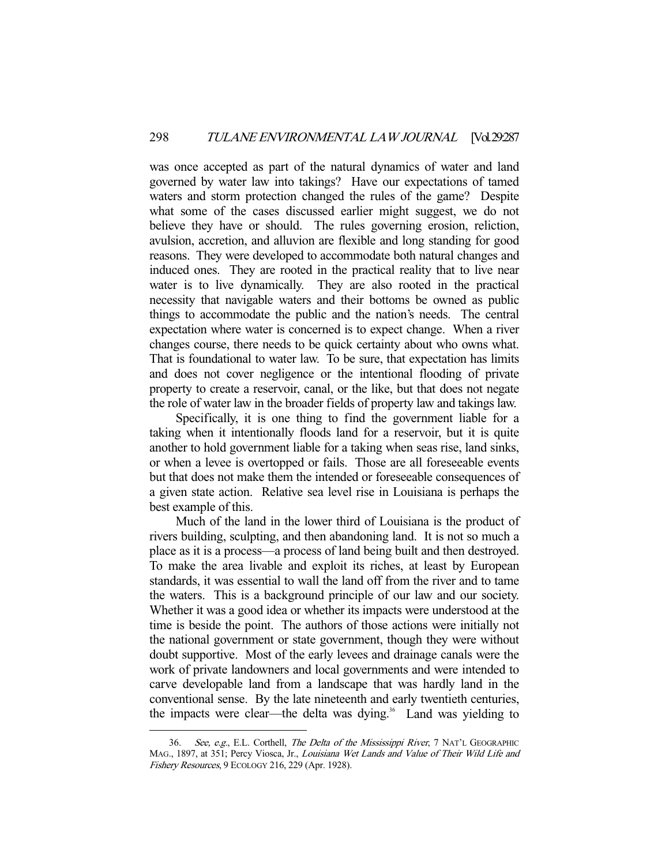was once accepted as part of the natural dynamics of water and land governed by water law into takings? Have our expectations of tamed waters and storm protection changed the rules of the game? Despite what some of the cases discussed earlier might suggest, we do not believe they have or should. The rules governing erosion, reliction, avulsion, accretion, and alluvion are flexible and long standing for good reasons. They were developed to accommodate both natural changes and induced ones. They are rooted in the practical reality that to live near water is to live dynamically. They are also rooted in the practical necessity that navigable waters and their bottoms be owned as public things to accommodate the public and the nation's needs. The central expectation where water is concerned is to expect change. When a river changes course, there needs to be quick certainty about who owns what. That is foundational to water law. To be sure, that expectation has limits and does not cover negligence or the intentional flooding of private property to create a reservoir, canal, or the like, but that does not negate the role of water law in the broader fields of property law and takings law.

 Specifically, it is one thing to find the government liable for a taking when it intentionally floods land for a reservoir, but it is quite another to hold government liable for a taking when seas rise, land sinks, or when a levee is overtopped or fails. Those are all foreseeable events but that does not make them the intended or foreseeable consequences of a given state action. Relative sea level rise in Louisiana is perhaps the best example of this.

 Much of the land in the lower third of Louisiana is the product of rivers building, sculpting, and then abandoning land. It is not so much a place as it is a process—a process of land being built and then destroyed. To make the area livable and exploit its riches, at least by European standards, it was essential to wall the land off from the river and to tame the waters. This is a background principle of our law and our society. Whether it was a good idea or whether its impacts were understood at the time is beside the point. The authors of those actions were initially not the national government or state government, though they were without doubt supportive. Most of the early levees and drainage canals were the work of private landowners and local governments and were intended to carve developable land from a landscape that was hardly land in the conventional sense. By the late nineteenth and early twentieth centuries, the impacts were clear—the delta was dying.<sup>36</sup> Land was yielding to

See, e.g., E.L. Corthell, The Delta of the Mississippi River, 7 NAT'L GEOGRAPHIC MAG., 1897, at 351; Percy Viosca, Jr., Louisiana Wet Lands and Value of Their Wild Life and Fishery Resources, 9 ECOLOGY 216, 229 (Apr. 1928).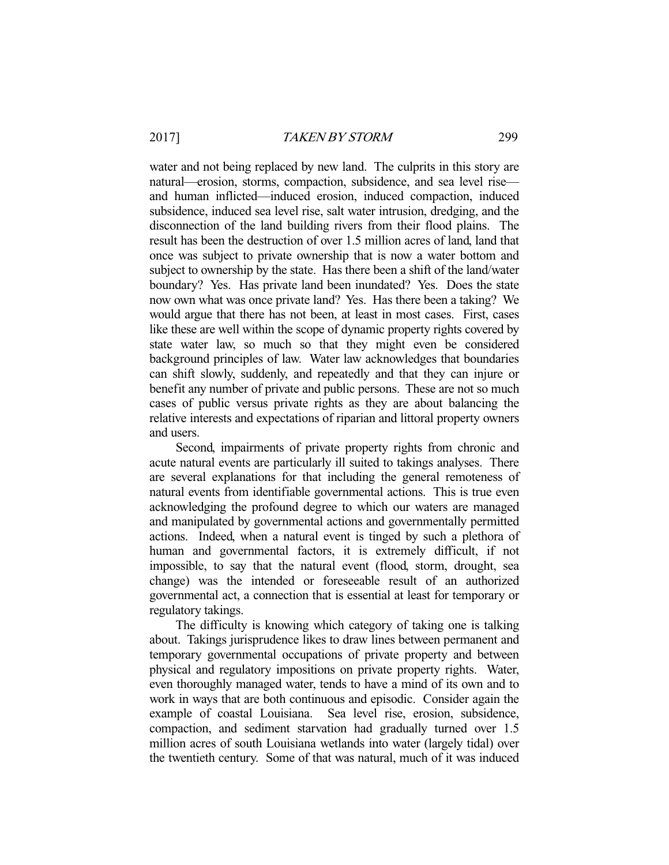water and not being replaced by new land. The culprits in this story are natural—erosion, storms, compaction, subsidence, and sea level rise and human inflicted—induced erosion, induced compaction, induced subsidence, induced sea level rise, salt water intrusion, dredging, and the disconnection of the land building rivers from their flood plains. The result has been the destruction of over 1.5 million acres of land, land that once was subject to private ownership that is now a water bottom and subject to ownership by the state. Has there been a shift of the land/water boundary? Yes. Has private land been inundated? Yes. Does the state now own what was once private land? Yes. Has there been a taking? We would argue that there has not been, at least in most cases. First, cases like these are well within the scope of dynamic property rights covered by state water law, so much so that they might even be considered background principles of law. Water law acknowledges that boundaries can shift slowly, suddenly, and repeatedly and that they can injure or benefit any number of private and public persons. These are not so much cases of public versus private rights as they are about balancing the relative interests and expectations of riparian and littoral property owners and users.

 Second, impairments of private property rights from chronic and acute natural events are particularly ill suited to takings analyses. There are several explanations for that including the general remoteness of natural events from identifiable governmental actions. This is true even acknowledging the profound degree to which our waters are managed and manipulated by governmental actions and governmentally permitted actions. Indeed, when a natural event is tinged by such a plethora of human and governmental factors, it is extremely difficult, if not impossible, to say that the natural event (flood, storm, drought, sea change) was the intended or foreseeable result of an authorized governmental act, a connection that is essential at least for temporary or regulatory takings.

 The difficulty is knowing which category of taking one is talking about. Takings jurisprudence likes to draw lines between permanent and temporary governmental occupations of private property and between physical and regulatory impositions on private property rights. Water, even thoroughly managed water, tends to have a mind of its own and to work in ways that are both continuous and episodic. Consider again the example of coastal Louisiana. Sea level rise, erosion, subsidence, compaction, and sediment starvation had gradually turned over 1.5 million acres of south Louisiana wetlands into water (largely tidal) over the twentieth century. Some of that was natural, much of it was induced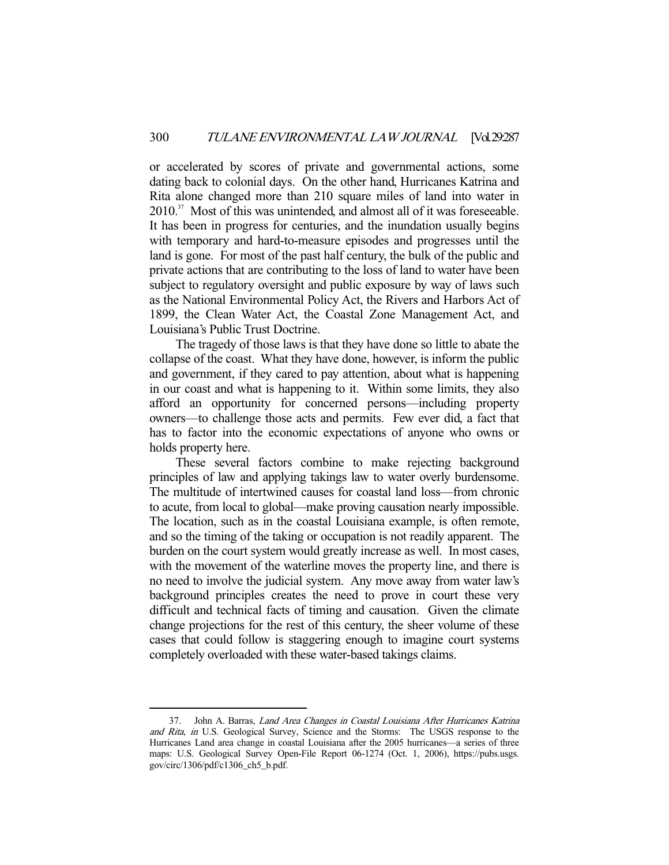or accelerated by scores of private and governmental actions, some dating back to colonial days. On the other hand, Hurricanes Katrina and Rita alone changed more than 210 square miles of land into water in 2010.<sup>37</sup> Most of this was unintended, and almost all of it was foreseeable. It has been in progress for centuries, and the inundation usually begins with temporary and hard-to-measure episodes and progresses until the land is gone. For most of the past half century, the bulk of the public and private actions that are contributing to the loss of land to water have been subject to regulatory oversight and public exposure by way of laws such as the National Environmental Policy Act, the Rivers and Harbors Act of 1899, the Clean Water Act, the Coastal Zone Management Act, and Louisiana's Public Trust Doctrine.

 The tragedy of those laws is that they have done so little to abate the collapse of the coast. What they have done, however, is inform the public and government, if they cared to pay attention, about what is happening in our coast and what is happening to it. Within some limits, they also afford an opportunity for concerned persons—including property owners—to challenge those acts and permits. Few ever did, a fact that has to factor into the economic expectations of anyone who owns or holds property here.

 These several factors combine to make rejecting background principles of law and applying takings law to water overly burdensome. The multitude of intertwined causes for coastal land loss—from chronic to acute, from local to global—make proving causation nearly impossible. The location, such as in the coastal Louisiana example, is often remote, and so the timing of the taking or occupation is not readily apparent. The burden on the court system would greatly increase as well. In most cases, with the movement of the waterline moves the property line, and there is no need to involve the judicial system. Any move away from water law's background principles creates the need to prove in court these very difficult and technical facts of timing and causation. Given the climate change projections for the rest of this century, the sheer volume of these cases that could follow is staggering enough to imagine court systems completely overloaded with these water-based takings claims.

 <sup>37.</sup> John A. Barras, Land Area Changes in Coastal Louisiana After Hurricanes Katrina and Rita, in U.S. Geological Survey, Science and the Storms: The USGS response to the Hurricanes Land area change in coastal Louisiana after the 2005 hurricanes—a series of three maps: U.S. Geological Survey Open-File Report 06-1274 (Oct. 1, 2006), https://pubs.usgs. gov/circ/1306/pdf/c1306\_ch5\_b.pdf.